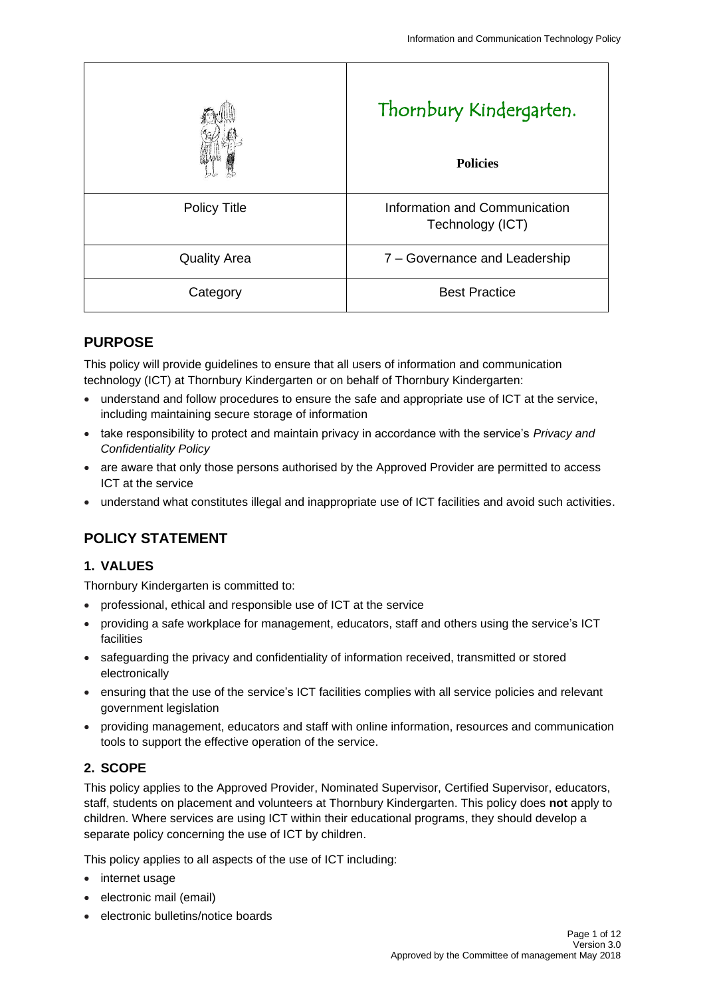|                     | Thornbury Kindergarten.<br><b>Policies</b>        |
|---------------------|---------------------------------------------------|
| <b>Policy Title</b> | Information and Communication<br>Technology (ICT) |
| <b>Quality Area</b> | 7 - Governance and Leadership                     |
| Category            | <b>Best Practice</b>                              |

## **PURPOSE**

This policy will provide guidelines to ensure that all users of information and communication technology (ICT) at Thornbury Kindergarten or on behalf of Thornbury Kindergarten:

- understand and follow procedures to ensure the safe and appropriate use of ICT at the service, including maintaining secure storage of information
- take responsibility to protect and maintain privacy in accordance with the service's *Privacy and Confidentiality Policy*
- are aware that only those persons authorised by the Approved Provider are permitted to access ICT at the service
- understand what constitutes illegal and inappropriate use of ICT facilities and avoid such activities.

# **POLICY STATEMENT**

### **1. VALUES**

Thornbury Kindergarten is committed to:

- professional, ethical and responsible use of ICT at the service
- providing a safe workplace for management, educators, staff and others using the service's ICT facilities
- safeguarding the privacy and confidentiality of information received, transmitted or stored electronically
- ensuring that the use of the service's ICT facilities complies with all service policies and relevant government legislation
- providing management, educators and staff with online information, resources and communication tools to support the effective operation of the service.

## **2. SCOPE**

This policy applies to the Approved Provider, Nominated Supervisor, Certified Supervisor, educators, staff, students on placement and volunteers at Thornbury Kindergarten. This policy does **not** apply to children. Where services are using ICT within their educational programs, they should develop a separate policy concerning the use of ICT by children.

This policy applies to all aspects of the use of ICT including:

- internet usage
- electronic mail (email)
- electronic bulletins/notice boards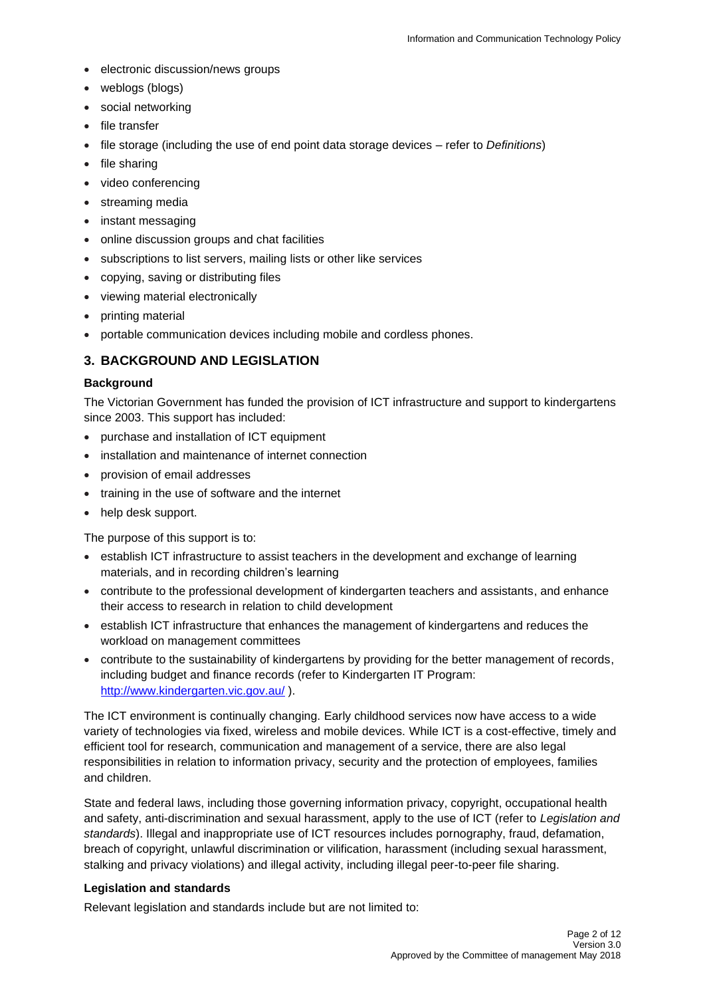- electronic discussion/news groups
- weblogs (blogs)
- social networking
- file transfer
- file storage (including the use of end point data storage devices refer to *Definitions*)
- file sharing
- video conferencing
- streaming media
- instant messaging
- online discussion groups and chat facilities
- subscriptions to list servers, mailing lists or other like services
- copying, saving or distributing files
- viewing material electronically
- printing material
- portable communication devices including mobile and cordless phones.

## **3. BACKGROUND AND LEGISLATION**

### **Background**

The Victorian Government has funded the provision of ICT infrastructure and support to kindergartens since 2003. This support has included:

- purchase and installation of ICT equipment
- installation and maintenance of internet connection
- provision of email addresses
- training in the use of software and the internet
- help desk support.

The purpose of this support is to:

- establish ICT infrastructure to assist teachers in the development and exchange of learning materials, and in recording children's learning
- contribute to the professional development of kindergarten teachers and assistants, and enhance their access to research in relation to child development
- establish ICT infrastructure that enhances the management of kindergartens and reduces the workload on management committees
- contribute to the sustainability of kindergartens by providing for the better management of records, including budget and finance records (refer to Kindergarten IT Program: <http://www.kindergarten.vic.gov.au/> ).

The ICT environment is continually changing. Early childhood services now have access to a wide variety of technologies via fixed, wireless and mobile devices. While ICT is a cost-effective, timely and efficient tool for research, communication and management of a service, there are also legal responsibilities in relation to information privacy, security and the protection of employees, families and children.

State and federal laws, including those governing information privacy, copyright, occupational health and safety, anti-discrimination and sexual harassment, apply to the use of ICT (refer to *Legislation and standards*). Illegal and inappropriate use of ICT resources includes pornography, fraud, defamation, breach of copyright, unlawful discrimination or vilification, harassment (including sexual harassment, stalking and privacy violations) and illegal activity, including illegal peer-to-peer file sharing.

### **Legislation and standards**

Relevant legislation and standards include but are not limited to: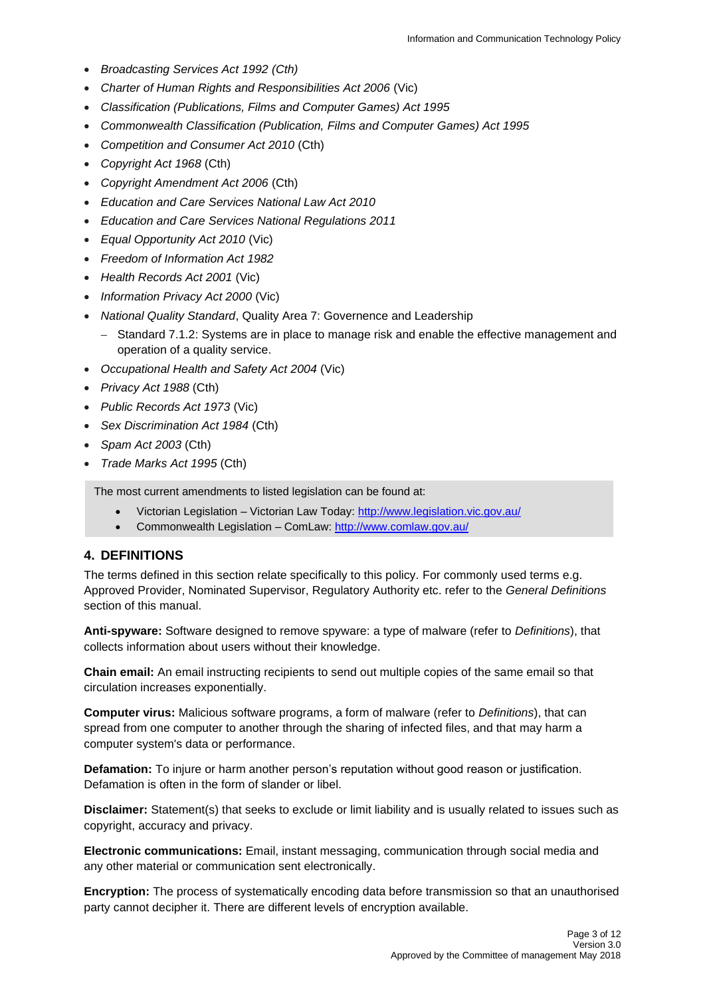- *Broadcasting Services Act 1992 (Cth)*
- *Charter of Human Rights and Responsibilities Act 2006* (Vic)
- *Classification (Publications, Films and Computer Games) Act 1995*
- *Commonwealth Classification (Publication, Films and Computer Games) Act 1995*
- *Competition and Consumer Act 2010* (Cth)
- *Copyright Act 1968* (Cth)
- *Copyright Amendment Act 2006* (Cth)
- *Education and Care Services National Law Act 2010*
- *Education and Care Services National Regulations 2011*
- *Equal Opportunity Act 2010* (Vic)
- *Freedom of Information Act 1982*
- *Health Records Act 2001* (Vic)
- *Information Privacy Act 2000* (Vic)
- *National Quality Standard*, Quality Area 7: Governence and Leadership
	- − Standard 7.1.2: Systems are in place to manage risk and enable the effective management and operation of a quality service.
- *Occupational Health and Safety Act 2004* (Vic)
- *Privacy Act 1988* (Cth)
- *Public Records Act 1973* (Vic)
- *Sex Discrimination Act 1984* (Cth)
- *Spam Act 2003* (Cth)
- *Trade Marks Act 1995* (Cth)

The most current amendments to listed legislation can be found at:

- Victorian Legislation Victorian Law Today:<http://www.legislation.vic.gov.au/>
- Commonwealth Legislation ComLaw:<http://www.comlaw.gov.au/>

#### **4. DEFINITIONS**

The terms defined in this section relate specifically to this policy. For commonly used terms e.g. Approved Provider, Nominated Supervisor, Regulatory Authority etc. refer to the *General Definitions* section of this manual.

**Anti-spyware:** Software designed to remove spyware: a type of malware (refer to *Definitions*), that collects information about users without their knowledge.

**Chain email:** An email instructing recipients to send out multiple copies of the same email so that circulation increases exponentially.

**Computer virus:** Malicious software programs, a form of malware (refer to *Definitions*), that can spread from one computer to another through the sharing of infected files, and that may harm a computer system's data or performance.

**Defamation:** To injure or harm another person's reputation without good reason or justification. Defamation is often in the form of slander or libel.

**Disclaimer:** Statement(s) that seeks to exclude or limit liability and is usually related to issues such as copyright, accuracy and privacy.

**Electronic communications:** Email, instant messaging, communication through social media and any other material or communication sent electronically.

**Encryption:** The process of systematically encoding data before transmission so that an unauthorised party cannot decipher it. There are different levels of encryption available.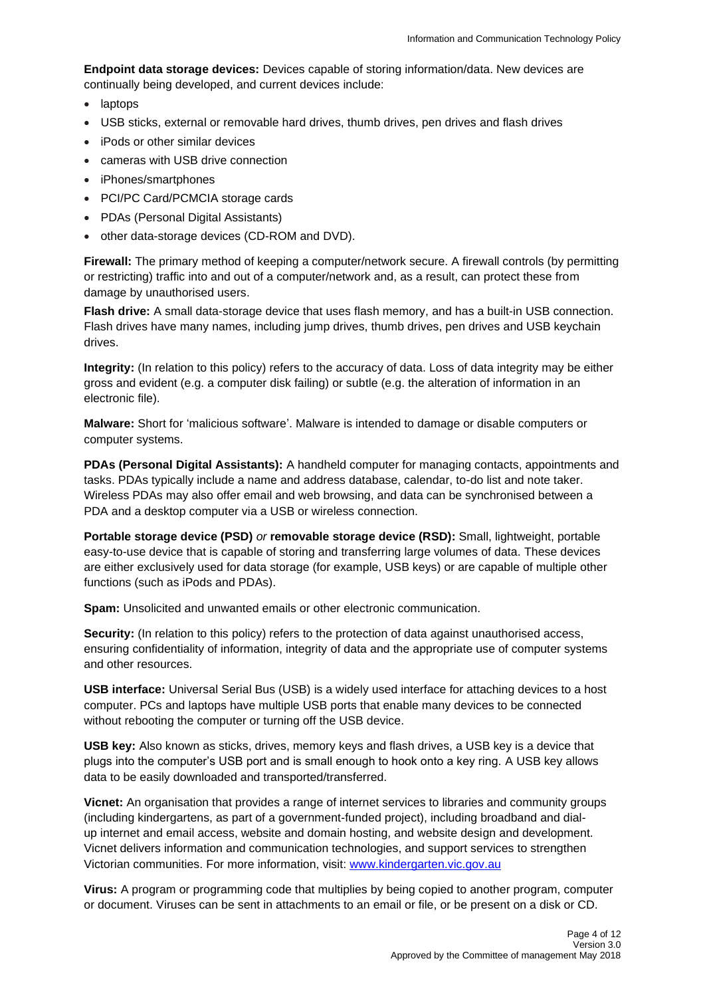**Endpoint data storage devices:** Devices capable of storing information/data. New devices are continually being developed, and current devices include:

- laptops
- USB sticks, external or removable hard drives, thumb drives, pen drives and flash drives
- iPods or other similar devices
- cameras with USB drive connection
- iPhones/smartphones
- PCI/PC Card/PCMCIA storage cards
- PDAs (Personal Digital Assistants)
- other data-storage devices (CD-ROM and DVD).

**Firewall:** The primary method of keeping a computer/network secure. A firewall controls (by permitting or restricting) traffic into and out of a computer/network and, as a result, can protect these from damage by unauthorised users.

**Flash drive:** A small data-storage device that uses flash memory, and has a built-in USB connection. Flash drives have many names, including jump drives, thumb drives, pen drives and USB keychain drives.

**Integrity:** (In relation to this policy) refers to the accuracy of data. Loss of data integrity may be either gross and evident (e.g. a computer disk failing) or subtle (e.g. the alteration of information in an electronic file).

**Malware:** Short for 'malicious software'. Malware is intended to damage or disable computers or computer systems.

**PDAs (Personal Digital Assistants):** A handheld computer for managing contacts, appointments and tasks. PDAs typically include a name and address database, calendar, to-do list and note taker. Wireless PDAs may also offer email and web browsing, and data can be synchronised between a PDA and a desktop computer via a USB or wireless connection.

**Portable storage device (PSD)** *or* **removable storage device (RSD):** Small, lightweight, portable easy-to-use device that is capable of storing and transferring large volumes of data. These devices are either exclusively used for data storage (for example, USB keys) or are capable of multiple other functions (such as iPods and PDAs).

**Spam:** Unsolicited and unwanted emails or other electronic communication.

**Security:** (In relation to this policy) refers to the protection of data against unauthorised access, ensuring confidentiality of information, integrity of data and the appropriate use of computer systems and other resources.

**USB interface:** Universal Serial Bus (USB) is a widely used interface for attaching devices to a host computer. PCs and laptops have multiple USB ports that enable many devices to be connected without rebooting the computer or turning off the USB device.

**USB key:** Also known as sticks, drives, memory keys and flash drives, a USB key is a device that plugs into the computer's USB port and is small enough to hook onto a key ring. A USB key allows data to be easily downloaded and transported/transferred.

**Vicnet:** An organisation that provides a range of internet services to libraries and community groups (including kindergartens, as part of a government-funded project), including broadband and dialup internet and email access, website and domain hosting, and website design and development. Vicnet delivers information and communication technologies, and support services to strengthen Victorian communities. For more information, visit: [www.kindergarten.vic.gov.au](http://www.kindergarten.vic.gov.au/)

**Virus:** A program or programming code that multiplies by being copied to another program, computer or document. Viruses can be sent in attachments to an email or file, or be present on a disk or CD.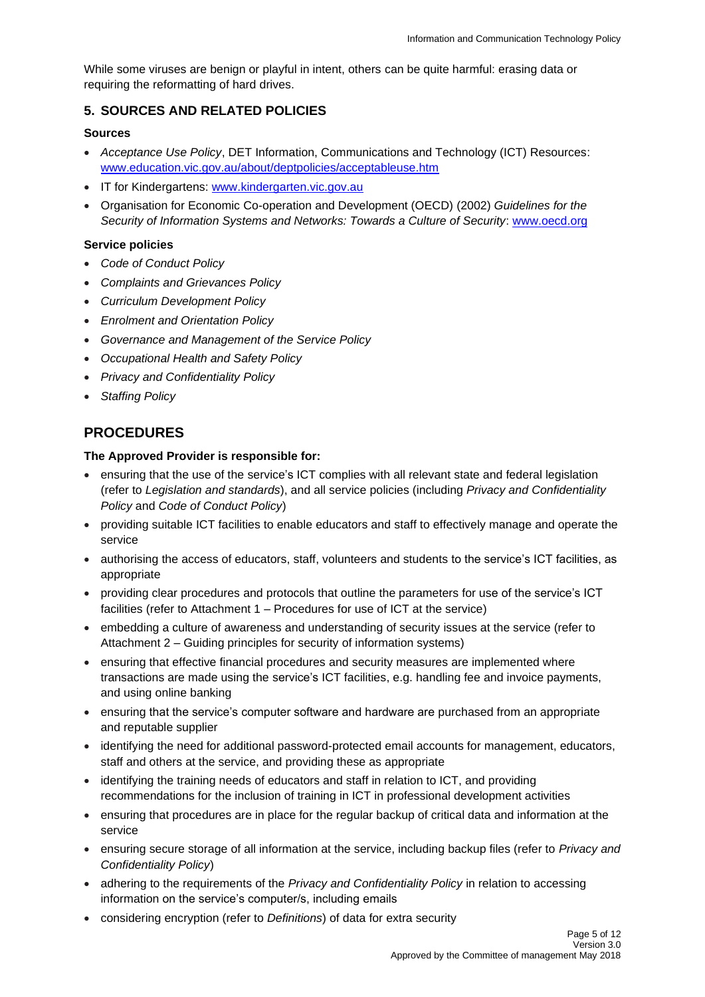While some viruses are benign or playful in intent, others can be quite harmful: erasing data or requiring the reformatting of hard drives.

### **5. SOURCES AND RELATED POLICIES**

### **Sources**

- *Acceptance Use Policy*, DET Information, Communications and Technology (ICT) Resources: [www.education.vic.gov.au/about/deptpolicies/acceptableuse.htm](http://www.education.vic.gov.au/about/deptpolicies/acceptableuse.htm)
- IT for Kindergartens: [www.kindergarten.vic.gov.au](http://www.kindergarten.vic.gov.au/)
- Organisation for Economic Co-operation and Development (OECD) (2002) *Guidelines for the Security of Information Systems and Networks: Towards a Culture of Security*: [www.oecd.org](http://www.oecd.org/)

### **Service policies**

- *Code of Conduct Policy*
- *Complaints and Grievances Policy*
- *Curriculum Development Policy*
- *Enrolment and Orientation Policy*
- *Governance and Management of the Service Policy*
- *Occupational Health and Safety Policy*
- *Privacy and Confidentiality Policy*
- *Staffing Policy*

## **PROCEDURES**

### **The Approved Provider is responsible for:**

- ensuring that the use of the service's ICT complies with all relevant state and federal legislation (refer to *Legislation and standards*), and all service policies (including *Privacy and Confidentiality Policy* and *Code of Conduct Policy*)
- providing suitable ICT facilities to enable educators and staff to effectively manage and operate the service
- authorising the access of educators, staff, volunteers and students to the service's ICT facilities, as appropriate
- providing clear procedures and protocols that outline the parameters for use of the service's ICT facilities (refer to Attachment 1 – Procedures for use of ICT at the service)
- embedding a culture of awareness and understanding of security issues at the service (refer to Attachment 2 – Guiding principles for security of information systems)
- ensuring that effective financial procedures and security measures are implemented where transactions are made using the service's ICT facilities, e.g. handling fee and invoice payments, and using online banking
- ensuring that the service's computer software and hardware are purchased from an appropriate and reputable supplier
- identifying the need for additional password-protected email accounts for management, educators, staff and others at the service, and providing these as appropriate
- identifying the training needs of educators and staff in relation to ICT, and providing recommendations for the inclusion of training in ICT in professional development activities
- ensuring that procedures are in place for the regular backup of critical data and information at the service
- ensuring secure storage of all information at the service, including backup files (refer to *Privacy and Confidentiality Policy*)
- adhering to the requirements of the *Privacy and Confidentiality Policy* in relation to accessing information on the service's computer/s, including emails
- considering encryption (refer to *Definitions*) of data for extra security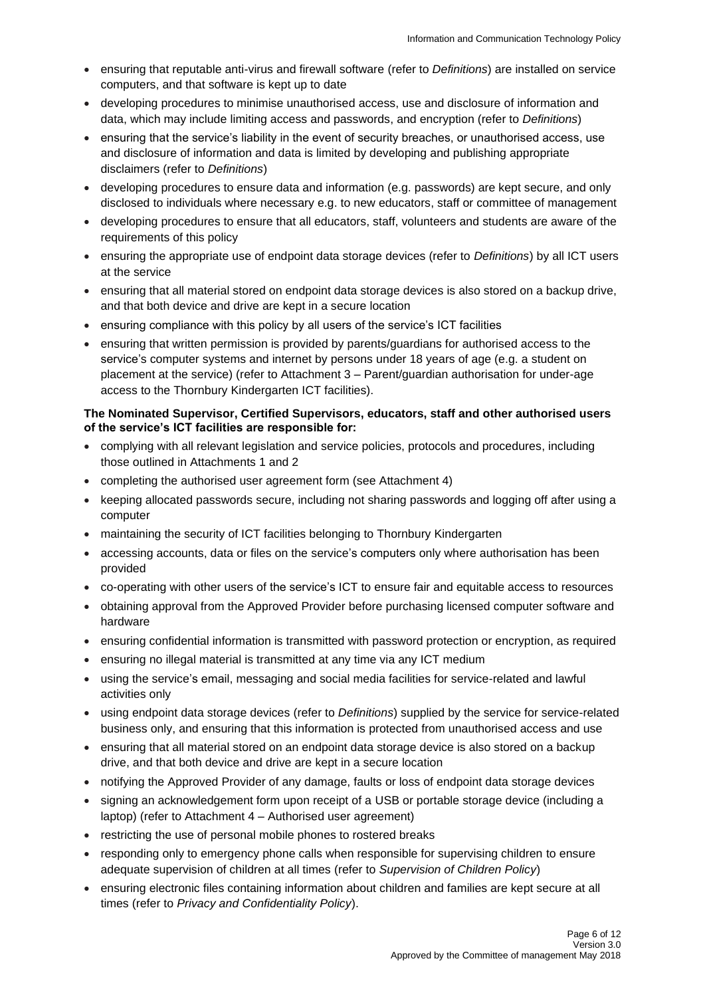- ensuring that reputable anti-virus and firewall software (refer to *Definitions*) are installed on service computers, and that software is kept up to date
- developing procedures to minimise unauthorised access, use and disclosure of information and data, which may include limiting access and passwords, and encryption (refer to *Definitions*)
- ensuring that the service's liability in the event of security breaches, or unauthorised access, use and disclosure of information and data is limited by developing and publishing appropriate disclaimers (refer to *Definitions*)
- developing procedures to ensure data and information (e.g. passwords) are kept secure, and only disclosed to individuals where necessary e.g. to new educators, staff or committee of management
- developing procedures to ensure that all educators, staff, volunteers and students are aware of the requirements of this policy
- ensuring the appropriate use of endpoint data storage devices (refer to *Definitions*) by all ICT users at the service
- ensuring that all material stored on endpoint data storage devices is also stored on a backup drive, and that both device and drive are kept in a secure location
- ensuring compliance with this policy by all users of the service's ICT facilities
- ensuring that written permission is provided by parents/guardians for authorised access to the service's computer systems and internet by persons under 18 years of age (e.g. a student on placement at the service) (refer to Attachment 3 – Parent/guardian authorisation for under-age access to the Thornbury Kindergarten ICT facilities).

### **The Nominated Supervisor, Certified Supervisors, educators, staff and other authorised users of the service's ICT facilities are responsible for:**

- complying with all relevant legislation and service policies, protocols and procedures, including those outlined in Attachments 1 and 2
- completing the authorised user agreement form (see Attachment 4)
- keeping allocated passwords secure, including not sharing passwords and logging off after using a computer
- maintaining the security of ICT facilities belonging to Thornbury Kindergarten
- accessing accounts, data or files on the service's computers only where authorisation has been provided
- co-operating with other users of the service's ICT to ensure fair and equitable access to resources
- obtaining approval from the Approved Provider before purchasing licensed computer software and hardware
- ensuring confidential information is transmitted with password protection or encryption, as required
- ensuring no illegal material is transmitted at any time via any ICT medium
- using the service's email, messaging and social media facilities for service-related and lawful activities only
- using endpoint data storage devices (refer to *Definitions*) supplied by the service for service-related business only, and ensuring that this information is protected from unauthorised access and use
- ensuring that all material stored on an endpoint data storage device is also stored on a backup drive, and that both device and drive are kept in a secure location
- notifying the Approved Provider of any damage, faults or loss of endpoint data storage devices
- signing an acknowledgement form upon receipt of a USB or portable storage device (including a laptop) (refer to Attachment 4 – Authorised user agreement)
- restricting the use of personal mobile phones to rostered breaks
- responding only to emergency phone calls when responsible for supervising children to ensure adequate supervision of children at all times (refer to *Supervision of Children Policy*)
- ensuring electronic files containing information about children and families are kept secure at all times (refer to *Privacy and Confidentiality Policy*).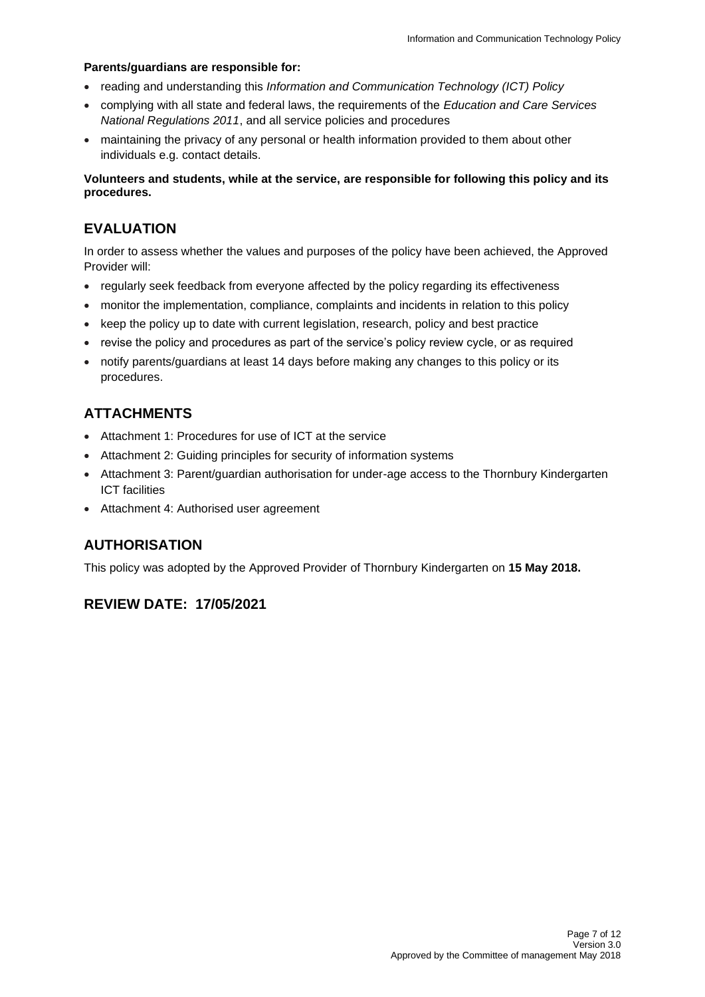#### **Parents/guardians are responsible for:**

- reading and understanding this *Information and Communication Technology (ICT) Policy*
- complying with all state and federal laws, the requirements of the *Education and Care Services National Regulations 2011*, and all service policies and procedures
- maintaining the privacy of any personal or health information provided to them about other individuals e.g. contact details.

**Volunteers and students, while at the service, are responsible for following this policy and its procedures.**

## **EVALUATION**

In order to assess whether the values and purposes of the policy have been achieved, the Approved Provider will:

- regularly seek feedback from everyone affected by the policy regarding its effectiveness
- monitor the implementation, compliance, complaints and incidents in relation to this policy
- keep the policy up to date with current legislation, research, policy and best practice
- revise the policy and procedures as part of the service's policy review cycle, or as required
- notify parents/guardians at least 14 days before making any changes to this policy or its procedures.

## **ATTACHMENTS**

- Attachment 1: Procedures for use of ICT at the service
- Attachment 2: Guiding principles for security of information systems
- Attachment 3: Parent/guardian authorisation for under-age access to the Thornbury Kindergarten ICT facilities
- Attachment 4: Authorised user agreement

## **AUTHORISATION**

This policy was adopted by the Approved Provider of Thornbury Kindergarten on **15 May 2018.**

## **REVIEW DATE: 17/05/2021**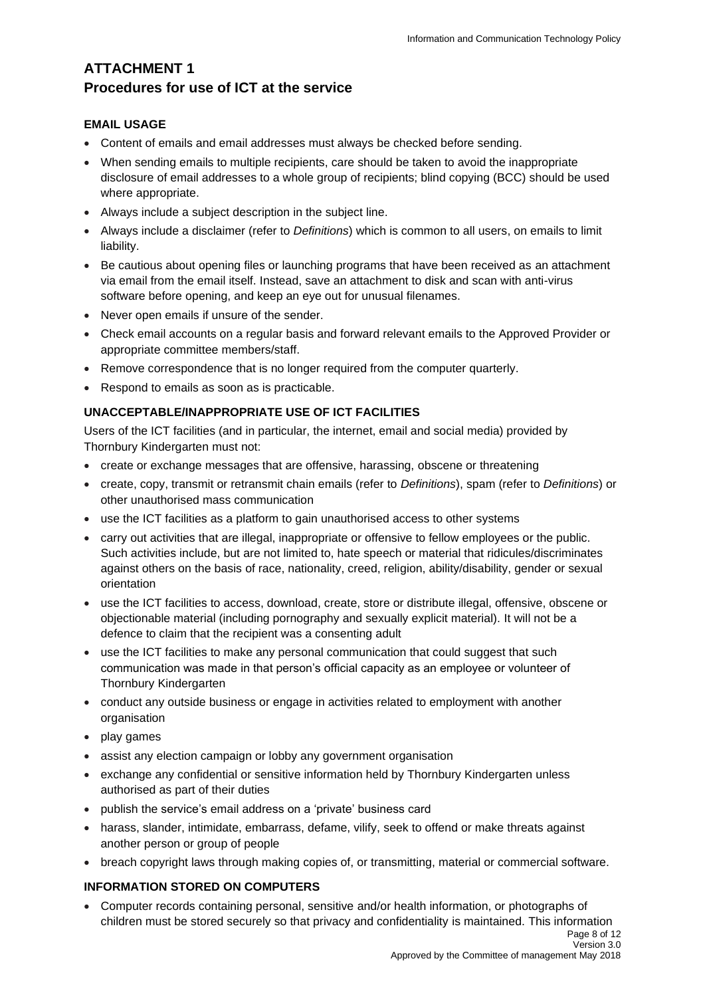# **ATTACHMENT 1 Procedures for use of ICT at the service**

### **EMAIL USAGE**

- Content of emails and email addresses must always be checked before sending.
- When sending emails to multiple recipients, care should be taken to avoid the inappropriate disclosure of email addresses to a whole group of recipients; blind copying (BCC) should be used where appropriate.
- Always include a subject description in the subject line.
- Always include a disclaimer (refer to *Definitions*) which is common to all users, on emails to limit liability.
- Be cautious about opening files or launching programs that have been received as an attachment via email from the email itself. Instead, save an attachment to disk and scan with anti-virus software before opening, and keep an eye out for unusual filenames.
- Never open emails if unsure of the sender.
- Check email accounts on a regular basis and forward relevant emails to the Approved Provider or appropriate committee members/staff.
- Remove correspondence that is no longer required from the computer quarterly.
- Respond to emails as soon as is practicable.

### **UNACCEPTABLE/INAPPROPRIATE USE OF ICT FACILITIES**

Users of the ICT facilities (and in particular, the internet, email and social media) provided by Thornbury Kindergarten must not:

- create or exchange messages that are offensive, harassing, obscene or threatening
- create, copy, transmit or retransmit chain emails (refer to *Definitions*), spam (refer to *Definitions*) or other unauthorised mass communication
- use the ICT facilities as a platform to gain unauthorised access to other systems
- carry out activities that are illegal, inappropriate or offensive to fellow employees or the public. Such activities include, but are not limited to, hate speech or material that ridicules/discriminates against others on the basis of race, nationality, creed, religion, ability/disability, gender or sexual orientation
- use the ICT facilities to access, download, create, store or distribute illegal, offensive, obscene or objectionable material (including pornography and sexually explicit material). It will not be a defence to claim that the recipient was a consenting adult
- use the ICT facilities to make any personal communication that could suggest that such communication was made in that person's official capacity as an employee or volunteer of Thornbury Kindergarten
- conduct any outside business or engage in activities related to employment with another organisation
- play games
- assist any election campaign or lobby any government organisation
- exchange any confidential or sensitive information held by Thornbury Kindergarten unless authorised as part of their duties
- publish the service's email address on a 'private' business card
- harass, slander, intimidate, embarrass, defame, vilify, seek to offend or make threats against another person or group of people
- breach copyright laws through making copies of, or transmitting, material or commercial software.

### **INFORMATION STORED ON COMPUTERS**

• Computer records containing personal, sensitive and/or health information, or photographs of children must be stored securely so that privacy and confidentiality is maintained. This information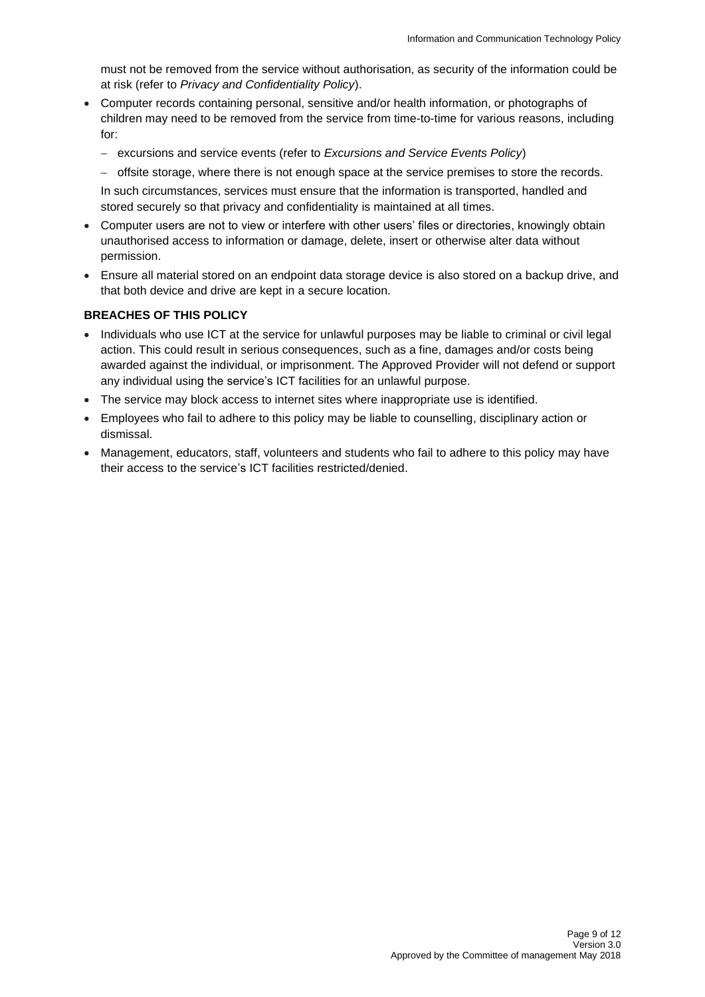must not be removed from the service without authorisation, as security of the information could be at risk (refer to *Privacy and Confidentiality Policy*).

- Computer records containing personal, sensitive and/or health information, or photographs of children may need to be removed from the service from time-to-time for various reasons, including for:
	- − excursions and service events (refer to *Excursions and Service Events Policy*)
	- − offsite storage, where there is not enough space at the service premises to store the records.

In such circumstances, services must ensure that the information is transported, handled and stored securely so that privacy and confidentiality is maintained at all times.

- Computer users are not to view or interfere with other users' files or directories, knowingly obtain unauthorised access to information or damage, delete, insert or otherwise alter data without permission.
- Ensure all material stored on an endpoint data storage device is also stored on a backup drive, and that both device and drive are kept in a secure location.

#### **BREACHES OF THIS POLICY**

- Individuals who use ICT at the service for unlawful purposes may be liable to criminal or civil legal action. This could result in serious consequences, such as a fine, damages and/or costs being awarded against the individual, or imprisonment. The Approved Provider will not defend or support any individual using the service's ICT facilities for an unlawful purpose.
- The service may block access to internet sites where inappropriate use is identified.
- Employees who fail to adhere to this policy may be liable to counselling, disciplinary action or dismissal.
- Management, educators, staff, volunteers and students who fail to adhere to this policy may have their access to the service's ICT facilities restricted/denied.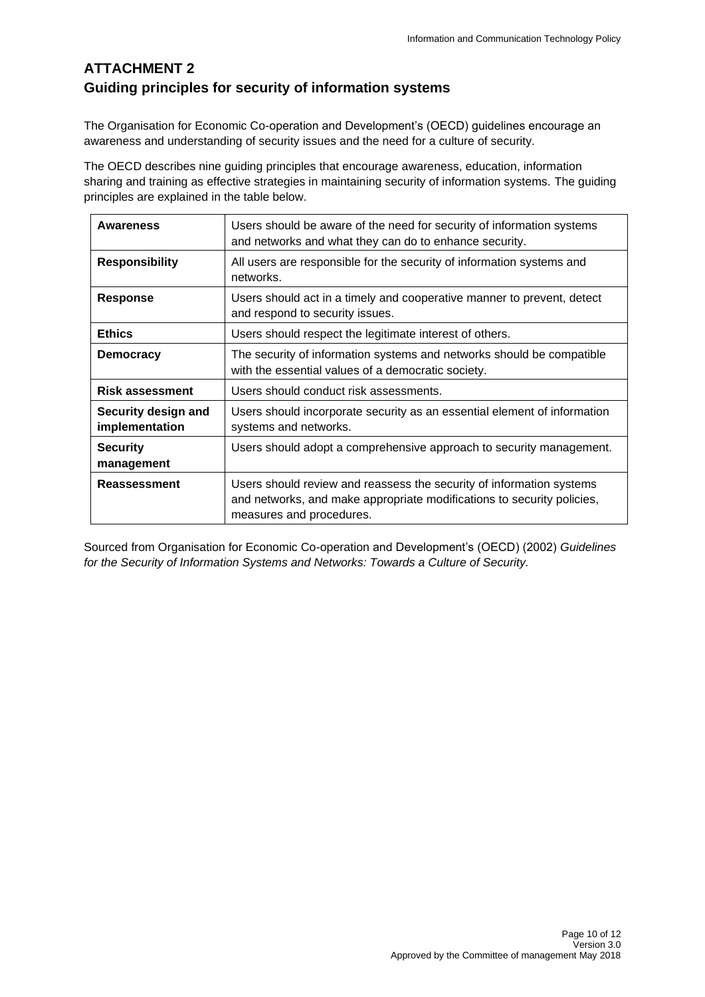# **ATTACHMENT 2 Guiding principles for security of information systems**

The Organisation for Economic Co-operation and Development's (OECD) guidelines encourage an awareness and understanding of security issues and the need for a culture of security.

The OECD describes nine guiding principles that encourage awareness, education, information sharing and training as effective strategies in maintaining security of information systems. The guiding principles are explained in the table below.

| Awareness                             | Users should be aware of the need for security of information systems<br>and networks and what they can do to enhance security.                                            |
|---------------------------------------|----------------------------------------------------------------------------------------------------------------------------------------------------------------------------|
| <b>Responsibility</b>                 | All users are responsible for the security of information systems and<br>networks.                                                                                         |
| <b>Response</b>                       | Users should act in a timely and cooperative manner to prevent, detect<br>and respond to security issues.                                                                  |
| <b>Ethics</b>                         | Users should respect the legitimate interest of others.                                                                                                                    |
| <b>Democracy</b>                      | The security of information systems and networks should be compatible<br>with the essential values of a democratic society.                                                |
| <b>Risk assessment</b>                | Users should conduct risk assessments.                                                                                                                                     |
| Security design and<br>implementation | Users should incorporate security as an essential element of information<br>systems and networks.                                                                          |
| <b>Security</b><br>management         | Users should adopt a comprehensive approach to security management.                                                                                                        |
| Reassessment                          | Users should review and reassess the security of information systems<br>and networks, and make appropriate modifications to security policies,<br>measures and procedures. |

Sourced from Organisation for Economic Co-operation and Development's (OECD) (2002) *Guidelines for the Security of Information Systems and Networks: Towards a Culture of Security.*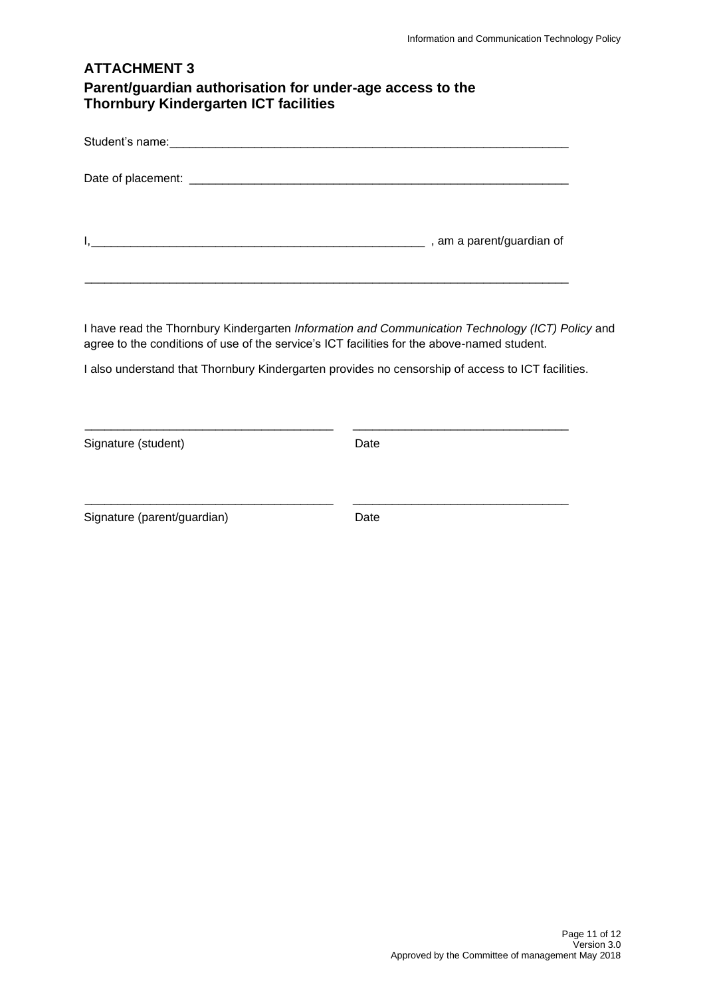## **ATTACHMENT 3 Parent/guardian authorisation for under-age access to the Thornbury Kindergarten ICT facilities**

| , am a parent/guardian of |
|---------------------------|

\_\_\_\_\_\_\_\_\_\_\_\_\_\_\_\_\_\_\_\_\_\_\_\_\_\_\_\_\_\_\_\_\_\_\_\_\_\_\_\_\_\_\_\_\_\_\_\_\_\_\_\_\_\_\_\_\_\_\_\_\_\_\_\_\_\_\_\_\_\_\_\_\_\_

I have read the Thornbury Kindergarten *Information and Communication Technology (ICT) Policy* and agree to the conditions of use of the service's ICT facilities for the above-named student.

I also understand that Thornbury Kindergarten provides no censorship of access to ICT facilities.

\_\_\_\_\_\_\_\_\_\_\_\_\_\_\_\_\_\_\_\_\_\_\_\_\_\_\_\_\_\_\_\_\_\_\_\_\_\_ \_\_\_\_\_\_\_\_\_\_\_\_\_\_\_\_\_\_\_\_\_\_\_\_\_\_\_\_\_\_\_\_\_

\_\_\_\_\_\_\_\_\_\_\_\_\_\_\_\_\_\_\_\_\_\_\_\_\_\_\_\_\_\_\_\_\_\_\_\_\_\_ \_\_\_\_\_\_\_\_\_\_\_\_\_\_\_\_\_\_\_\_\_\_\_\_\_\_\_\_\_\_\_\_\_

Signature (student) Date

Signature (parent/guardian) Date